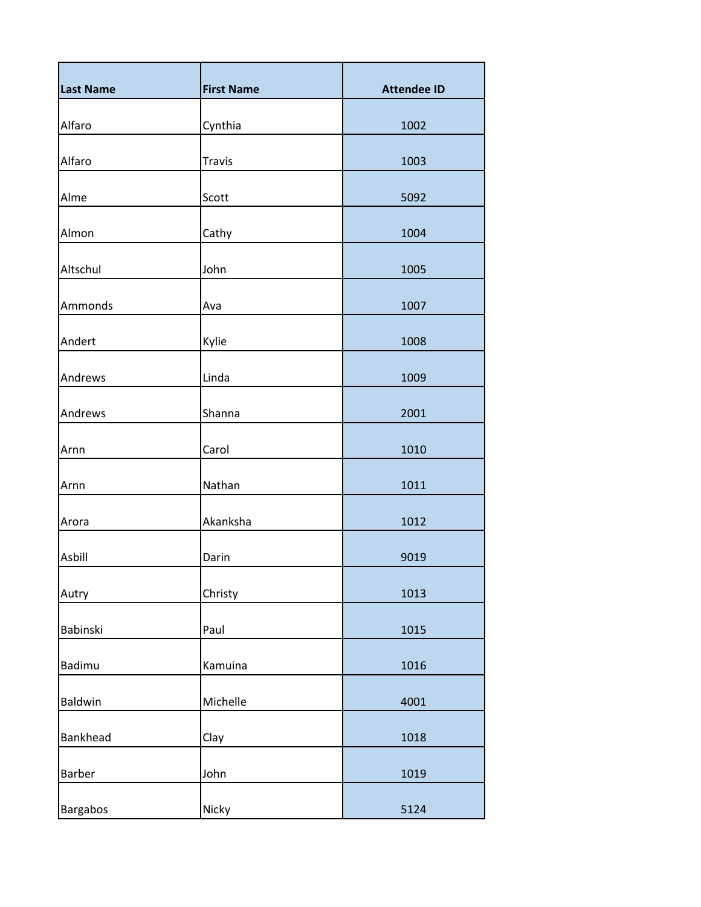| <b>Last Name</b> | <b>First Name</b> | <b>Attendee ID</b> |
|------------------|-------------------|--------------------|
| Alfaro           | Cynthia           | 1002               |
| Alfaro           | Travis            | 1003               |
| Alme             | Scott             | 5092               |
| Almon            | Cathy             | 1004               |
| Altschul         | John              | 1005               |
| Ammonds          | Ava               | 1007               |
| Andert           | Kylie             | 1008               |
| Andrews          | Linda             | 1009               |
| Andrews          | Shanna            | 2001               |
| Arnn             | Carol             | 1010               |
| Arnn             | Nathan            | 1011               |
| Arora            | Akanksha          | 1012               |
| Asbill           | Darin             | 9019               |
| Autry            | Christy           | 1013               |
| Babinski         | Paul              | 1015               |
| Badimu           | Kamuina           | 1016               |
| Baldwin          | Michelle          | 4001               |
| Bankhead         | Clay              | 1018               |
| Barber           | John              | 1019               |
| Bargabos         | Nicky             | 5124               |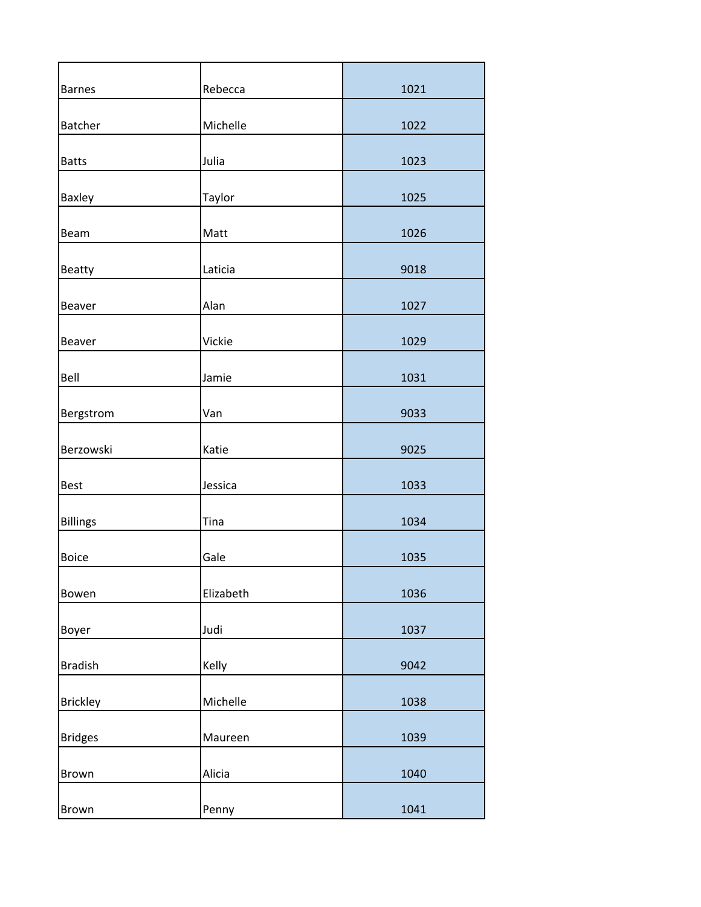| <b>Barnes</b>   | Rebecca   | 1021 |
|-----------------|-----------|------|
| <b>Batcher</b>  | Michelle  | 1022 |
| <b>Batts</b>    | Julia     | 1023 |
| Baxley          | Taylor    | 1025 |
| Beam            | Matt      | 1026 |
| <b>Beatty</b>   | Laticia   | 9018 |
| Beaver          | Alan      | 1027 |
| Beaver          | Vickie    | 1029 |
| Bell            | Jamie     | 1031 |
| Bergstrom       | Van       | 9033 |
| Berzowski       | Katie     | 9025 |
| <b>Best</b>     | Jessica   | 1033 |
| <b>Billings</b> | Tina      | 1034 |
| <b>Boice</b>    | Gale      | 1035 |
| Bowen           | Elizabeth | 1036 |
| Boyer           | Judi      | 1037 |
| <b>Bradish</b>  | Kelly     | 9042 |
| <b>Brickley</b> | Michelle  | 1038 |
| <b>Bridges</b>  | Maureen   | 1039 |
| Brown           | Alicia    | 1040 |
| Brown           | Penny     | 1041 |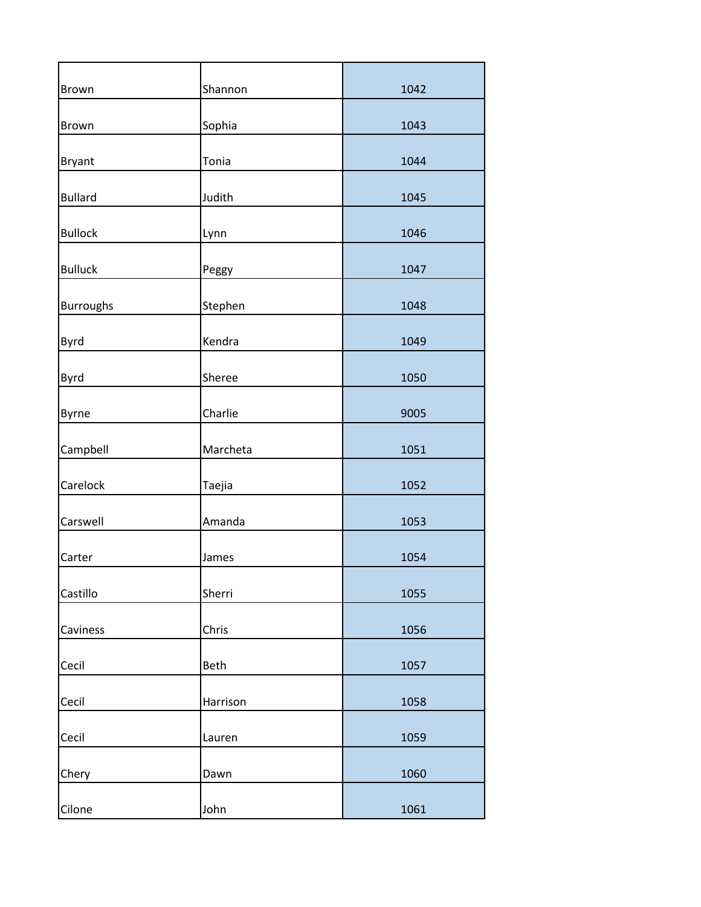| Brown            | Shannon  | 1042 |
|------------------|----------|------|
| Brown            | Sophia   | 1043 |
| <b>Bryant</b>    | Tonia    | 1044 |
| <b>Bullard</b>   | Judith   | 1045 |
| <b>Bullock</b>   | Lynn     | 1046 |
| <b>Bulluck</b>   | Peggy    | 1047 |
| <b>Burroughs</b> | Stephen  | 1048 |
| Byrd             | Kendra   | 1049 |
| Byrd             | Sheree   | 1050 |
| Byrne            | Charlie  | 9005 |
| Campbell         | Marcheta | 1051 |
| Carelock         | Taejia   | 1052 |
| Carswell         | Amanda   | 1053 |
| Carter           | James    | 1054 |
| Castillo         | Sherri   | 1055 |
| Caviness         | Chris    | 1056 |
| Cecil            | Beth     | 1057 |
| Cecil            | Harrison | 1058 |
| Cecil            | Lauren   | 1059 |
| Chery            | Dawn     | 1060 |
| Cilone           | John     | 1061 |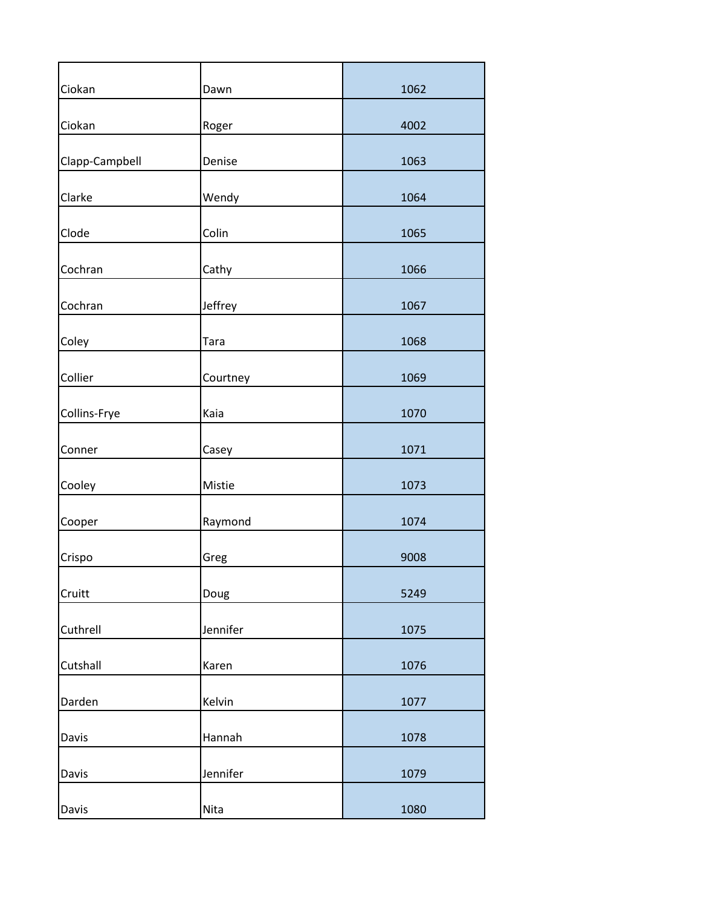| Ciokan         | Dawn        | 1062 |
|----------------|-------------|------|
| Ciokan         | Roger       | 4002 |
| Clapp-Campbell | Denise      | 1063 |
| Clarke         | Wendy       | 1064 |
| Clode          | Colin       | 1065 |
| Cochran        | Cathy       | 1066 |
| Cochran        | Jeffrey     | 1067 |
| Coley          | <b>Tara</b> | 1068 |
| Collier        | Courtney    | 1069 |
| Collins-Frye   | Kaia        | 1070 |
| Conner         | Casey       | 1071 |
| Cooley         | Mistie      | 1073 |
| Cooper         | Raymond     | 1074 |
| Crispo         | Greg        | 9008 |
| Cruitt         | Doug        | 5249 |
| Cuthrell       | Jennifer    | 1075 |
| Cutshall       | Karen       | 1076 |
| Darden         | Kelvin      | 1077 |
| Davis          | Hannah      | 1078 |
| Davis          | Jennifer    | 1079 |
| Davis          | Nita        | 1080 |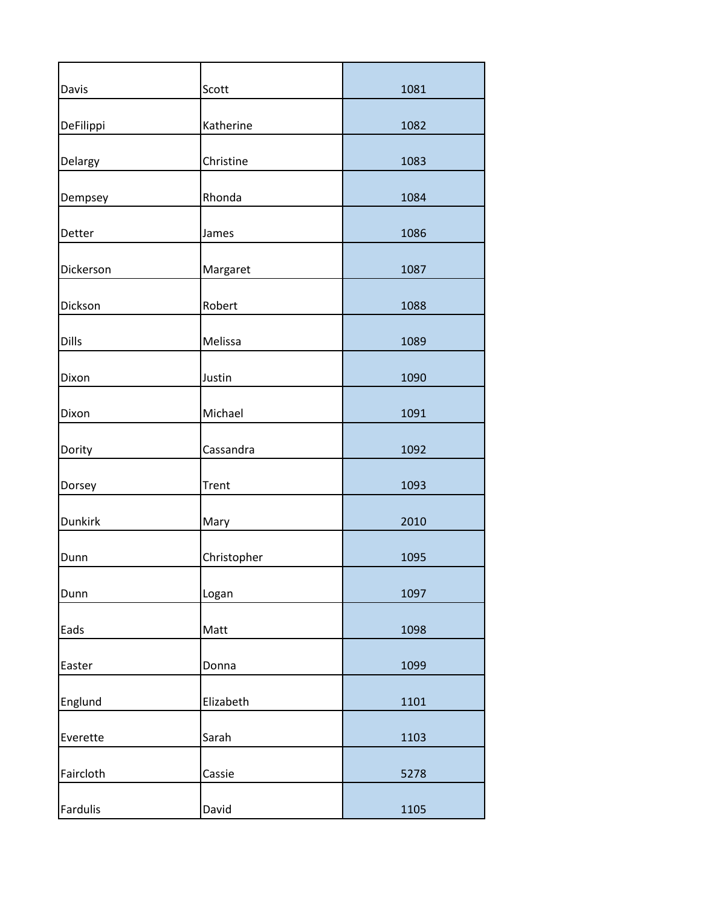| Davis          | Scott        | 1081 |
|----------------|--------------|------|
| DeFilippi      | Katherine    | 1082 |
| Delargy        | Christine    | 1083 |
| Dempsey        | Rhonda       | 1084 |
| Detter         | James        | 1086 |
| Dickerson      | Margaret     | 1087 |
| Dickson        | Robert       | 1088 |
| Dills          | Melissa      | 1089 |
| Dixon          | Justin       | 1090 |
| Dixon          | Michael      | 1091 |
| Dority         | Cassandra    | 1092 |
| Dorsey         | <b>Trent</b> | 1093 |
| <b>Dunkirk</b> | Mary         | 2010 |
| Dunn           | Christopher  | 1095 |
| Dunn           | Logan        | 1097 |
| Eads           | Matt         | 1098 |
| Easter         | Donna        | 1099 |
| Englund        | Elizabeth    | 1101 |
| Everette       | Sarah        | 1103 |
| Faircloth      | Cassie       | 5278 |
| Fardulis       | David        | 1105 |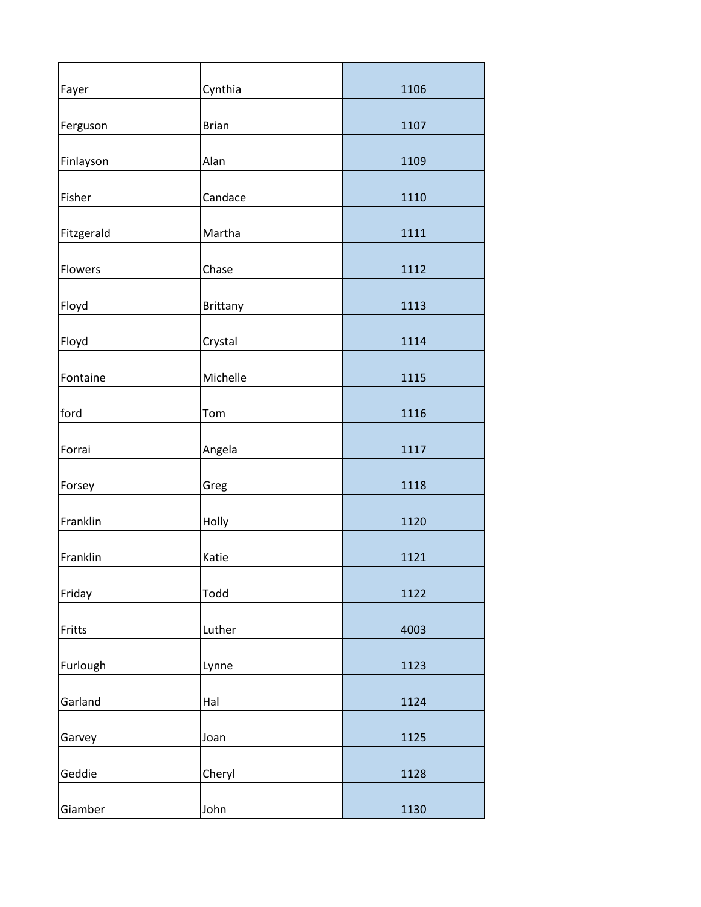| Fayer      | Cynthia      | 1106 |
|------------|--------------|------|
| Ferguson   | <b>Brian</b> | 1107 |
| Finlayson  | Alan         | 1109 |
| Fisher     | Candace      | 1110 |
| Fitzgerald | Martha       | 1111 |
| Flowers    | Chase        | 1112 |
| Floyd      | Brittany     | 1113 |
| Floyd      | Crystal      | 1114 |
| Fontaine   | Michelle     | 1115 |
| ford       | Tom          | 1116 |
| Forrai     | Angela       | 1117 |
| Forsey     | Greg         | 1118 |
| Franklin   | Holly        | 1120 |
| Franklin   | Katie        | 1121 |
| Friday     | Todd         | 1122 |
| Fritts     | Luther       | 4003 |
| Furlough   | Lynne        | 1123 |
| Garland    | Hal          | 1124 |
| Garvey     | Joan         | 1125 |
| Geddie     | Cheryl       | 1128 |
| Giamber    | John         | 1130 |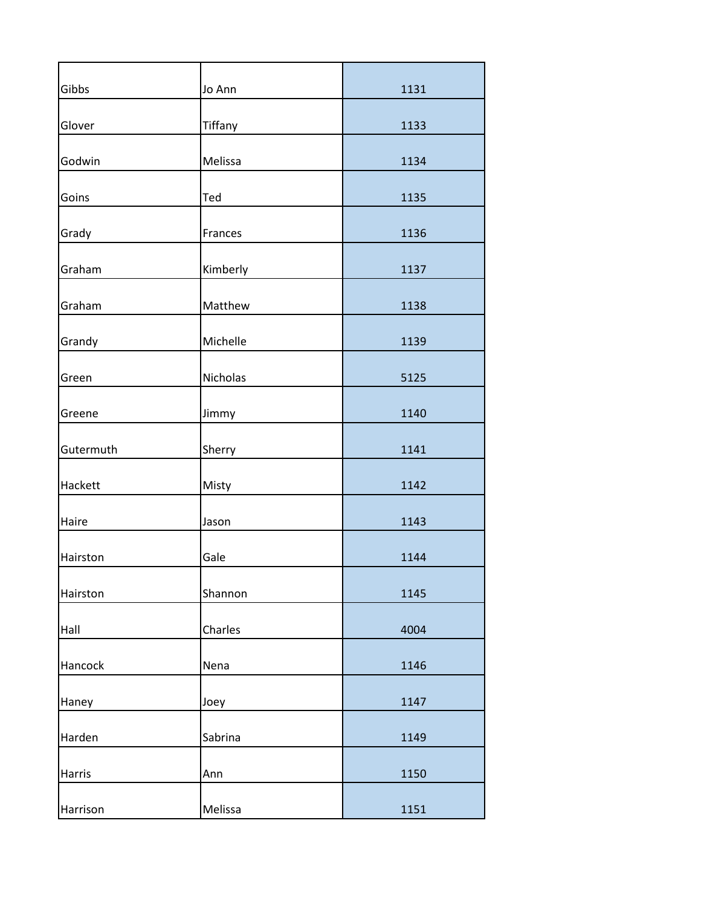| Gibbs     | Jo Ann   | 1131 |
|-----------|----------|------|
| Glover    | Tiffany  | 1133 |
| Godwin    | Melissa  | 1134 |
| Goins     | Ted      | 1135 |
| Grady     | Frances  | 1136 |
| Graham    | Kimberly | 1137 |
| Graham    | Matthew  | 1138 |
| Grandy    | Michelle | 1139 |
| Green     | Nicholas | 5125 |
| Greene    | Jimmy    | 1140 |
| Gutermuth | Sherry   | 1141 |
| Hackett   | Misty    | 1142 |
| Haire     | Jason    | 1143 |
| Hairston  | Gale     | 1144 |
| Hairston  | Shannon  | 1145 |
| Hall      | Charles  | 4004 |
| Hancock   | Nena     | 1146 |
| Haney     | Joey     | 1147 |
| Harden    | Sabrina  | 1149 |
| Harris    | Ann      | 1150 |
| Harrison  | Melissa  | 1151 |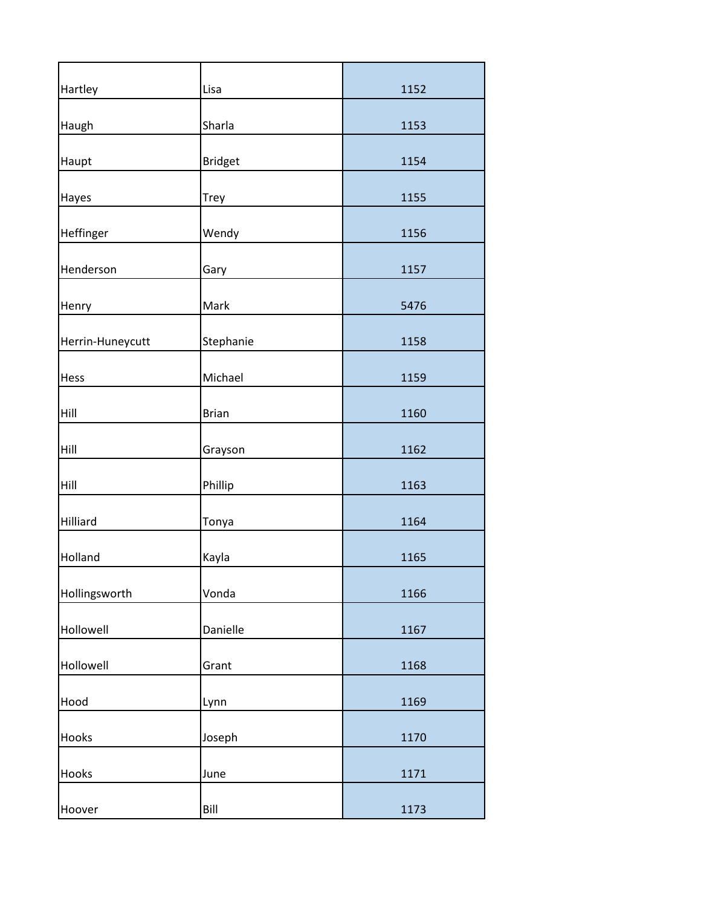| Hartley          | Lisa           | 1152 |
|------------------|----------------|------|
| Haugh            | Sharla         | 1153 |
| Haupt            | <b>Bridget</b> | 1154 |
| Hayes            | Trey           | 1155 |
| Heffinger        | Wendy          | 1156 |
| Henderson        | Gary           | 1157 |
| Henry            | Mark           | 5476 |
| Herrin-Huneycutt | Stephanie      | 1158 |
| Hess             | Michael        | 1159 |
| Hill             | <b>Brian</b>   | 1160 |
| Hill             | Grayson        | 1162 |
| Hill             | Phillip        | 1163 |
| Hilliard         | Tonya          | 1164 |
| Holland          | Kayla          | 1165 |
| Hollingsworth    | Vonda          | 1166 |
| Hollowell        | Danielle       | 1167 |
| Hollowell        | Grant          | 1168 |
| Hood             | Lynn           | 1169 |
| Hooks            | Joseph         | 1170 |
| Hooks            | June           | 1171 |
| Hoover           | Bill           | 1173 |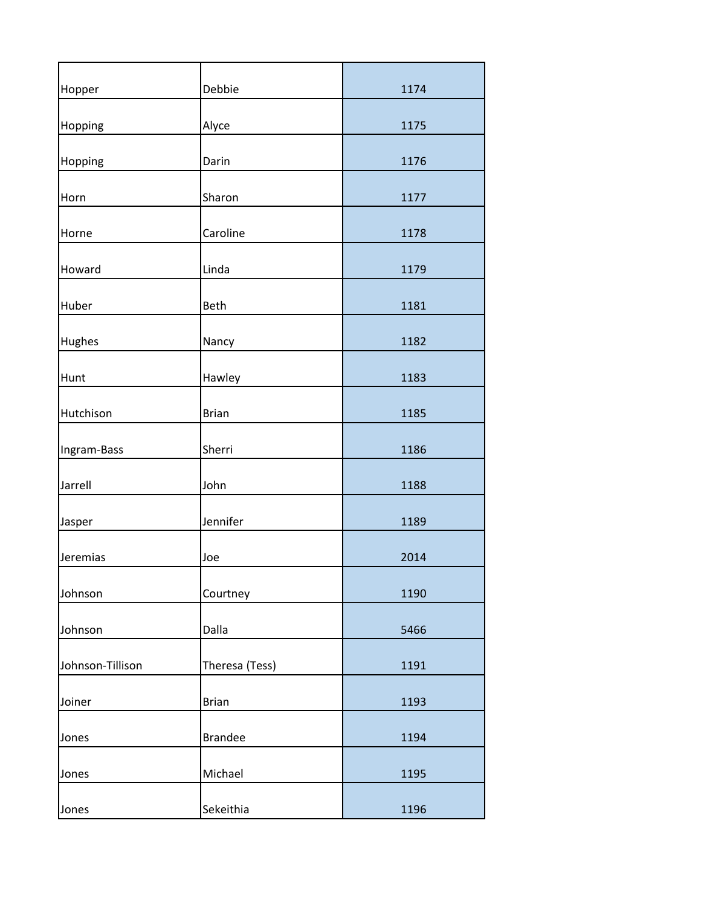| Hopper           | Debbie         | 1174 |
|------------------|----------------|------|
| Hopping          | Alyce          | 1175 |
| Hopping          | Darin          | 1176 |
| Horn             | Sharon         | 1177 |
| Horne            | Caroline       | 1178 |
| Howard           | Linda          | 1179 |
| Huber            | Beth           | 1181 |
| Hughes           | Nancy          | 1182 |
| Hunt             | Hawley         | 1183 |
| Hutchison        | <b>Brian</b>   | 1185 |
| Ingram-Bass      | Sherri         | 1186 |
| Jarrell          | John           | 1188 |
| Jasper           | Jennifer       | 1189 |
| Jeremias         | Joe            | 2014 |
| Johnson          | Courtney       | 1190 |
| Johnson          | Dalla          | 5466 |
| Johnson-Tillison | Theresa (Tess) | 1191 |
| Joiner           | <b>Brian</b>   | 1193 |
| Jones            | <b>Brandee</b> | 1194 |
| Jones            | Michael        | 1195 |
| Jones            | Sekeithia      | 1196 |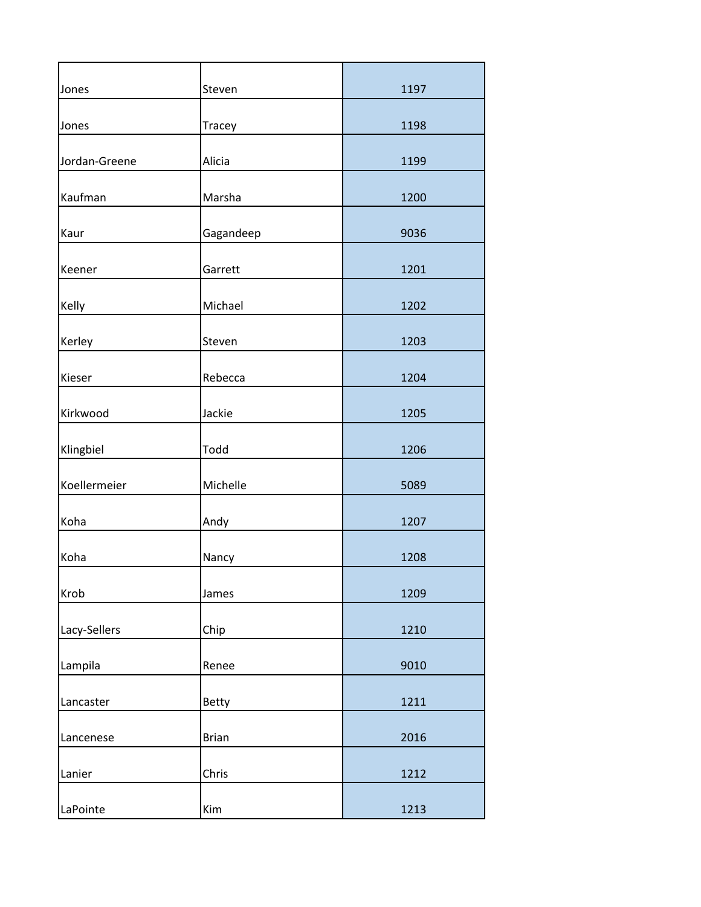| Jones         | Steven       | 1197 |
|---------------|--------------|------|
| Jones         | Tracey       | 1198 |
| Jordan-Greene | Alicia       | 1199 |
| Kaufman       | Marsha       | 1200 |
| Kaur          | Gagandeep    | 9036 |
| Keener        | Garrett      | 1201 |
| Kelly         | Michael      | 1202 |
| Kerley        | Steven       | 1203 |
| Kieser        | Rebecca      | 1204 |
| Kirkwood      | Jackie       | 1205 |
| Klingbiel     | Todd         | 1206 |
| Koellermeier  | Michelle     | 5089 |
| Koha          | Andy         | 1207 |
| Koha          | Nancy        | 1208 |
| Krob          | James        | 1209 |
| Lacy-Sellers  | Chip         | 1210 |
| Lampila       | Renee        | 9010 |
| Lancaster     | <b>Betty</b> | 1211 |
| Lancenese     | <b>Brian</b> | 2016 |
| Lanier        | Chris        | 1212 |
| LaPointe      | Kim          | 1213 |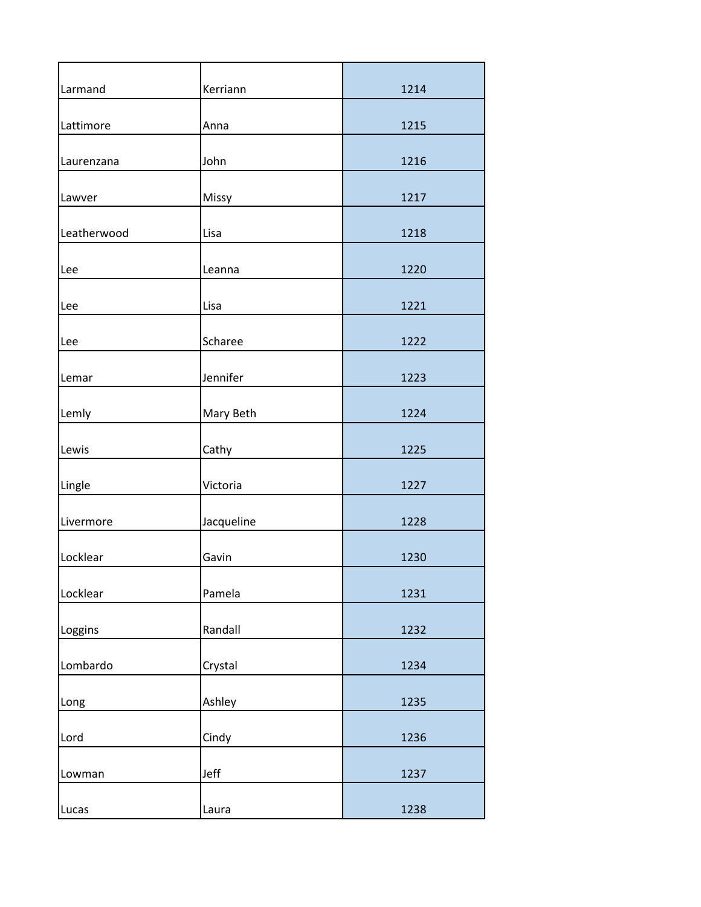| Larmand     | Kerriann   | 1214 |
|-------------|------------|------|
| Lattimore   | Anna       | 1215 |
| Laurenzana  | John       | 1216 |
| Lawver      | Missy      | 1217 |
| Leatherwood | Lisa       | 1218 |
| Lee         | Leanna     | 1220 |
| Lee         | Lisa       | 1221 |
| Lee         | Scharee    | 1222 |
| Lemar       | Jennifer   | 1223 |
| Lemly       | Mary Beth  | 1224 |
| Lewis       | Cathy      | 1225 |
| Lingle      | Victoria   | 1227 |
| Livermore   | Jacqueline | 1228 |
| Locklear    | Gavin      | 1230 |
| Locklear    | Pamela     | 1231 |
| Loggins     | Randall    | 1232 |
| Lombardo    | Crystal    | 1234 |
| Long        | Ashley     | 1235 |
| Lord        | Cindy      | 1236 |
| Lowman      | Jeff       | 1237 |
| Lucas       | Laura      | 1238 |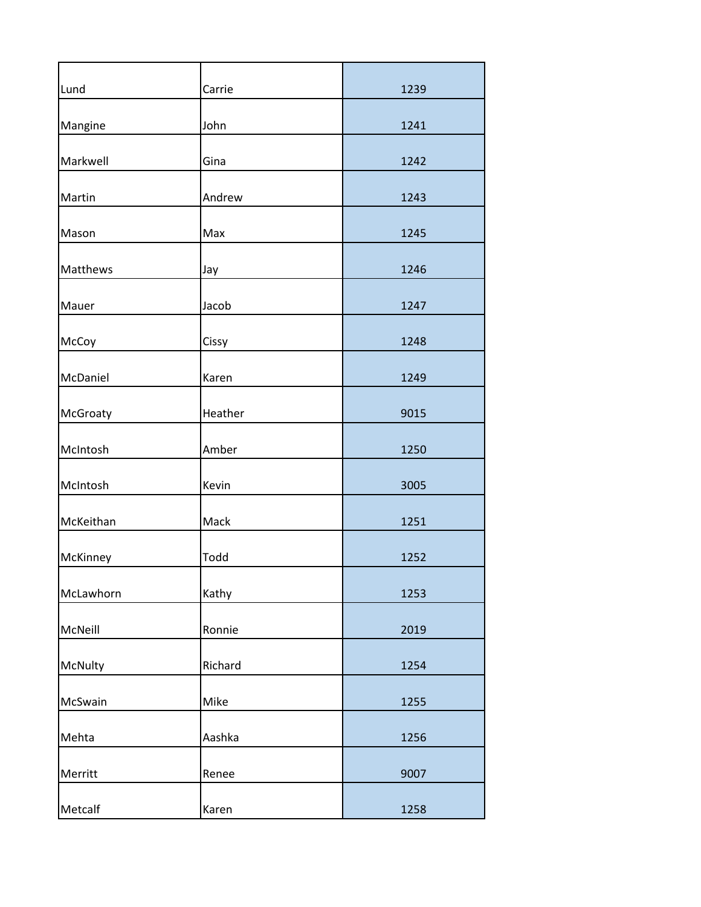| Lund      | Carrie  | 1239 |
|-----------|---------|------|
| Mangine   | John    | 1241 |
| Markwell  | Gina    | 1242 |
| Martin    | Andrew  | 1243 |
| Mason     | Max     | 1245 |
| Matthews  | Jay     | 1246 |
| Mauer     | Jacob   | 1247 |
| McCoy     | Cissy   | 1248 |
| McDaniel  | Karen   | 1249 |
| McGroaty  | Heather | 9015 |
| McIntosh  | Amber   | 1250 |
| McIntosh  | Kevin   | 3005 |
| McKeithan | Mack    | 1251 |
| McKinney  | Todd    | 1252 |
| McLawhorn | Kathy   | 1253 |
| McNeill   | Ronnie  | 2019 |
| McNulty   | Richard | 1254 |
| McSwain   | Mike    | 1255 |
| Mehta     | Aashka  | 1256 |
| Merritt   | Renee   | 9007 |
| Metcalf   | Karen   | 1258 |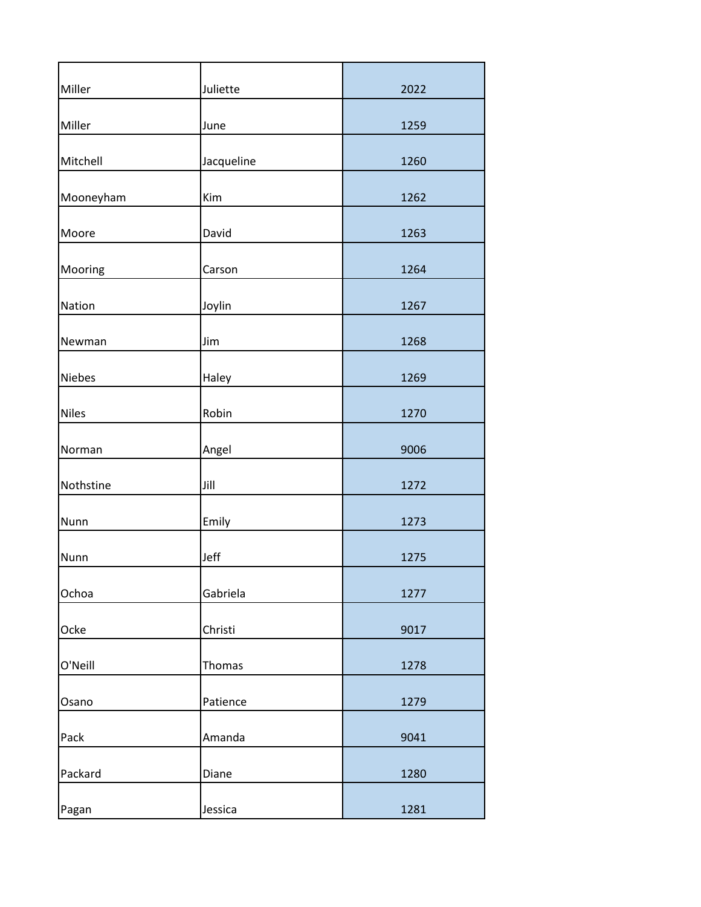| Miller       | Juliette   | 2022 |
|--------------|------------|------|
| Miller       | June       | 1259 |
| Mitchell     | Jacqueline | 1260 |
| Mooneyham    | Kim        | 1262 |
| Moore        | David      | 1263 |
| Mooring      | Carson     | 1264 |
| Nation       | Joylin     | 1267 |
| Newman       | Jim        | 1268 |
| Niebes       | Haley      | 1269 |
| <b>Niles</b> | Robin      | 1270 |
| Norman       | Angel      | 9006 |
| Nothstine    | Jill       | 1272 |
| Nunn         | Emily      | 1273 |
| Nunn         | Jeff       | 1275 |
| Ochoa        | Gabriela   | 1277 |
| Ocke         | Christi    | 9017 |
| O'Neill      | Thomas     | 1278 |
| Osano        | Patience   | 1279 |
| Pack         | Amanda     | 9041 |
| Packard      | Diane      | 1280 |
| Pagan        | Jessica    | 1281 |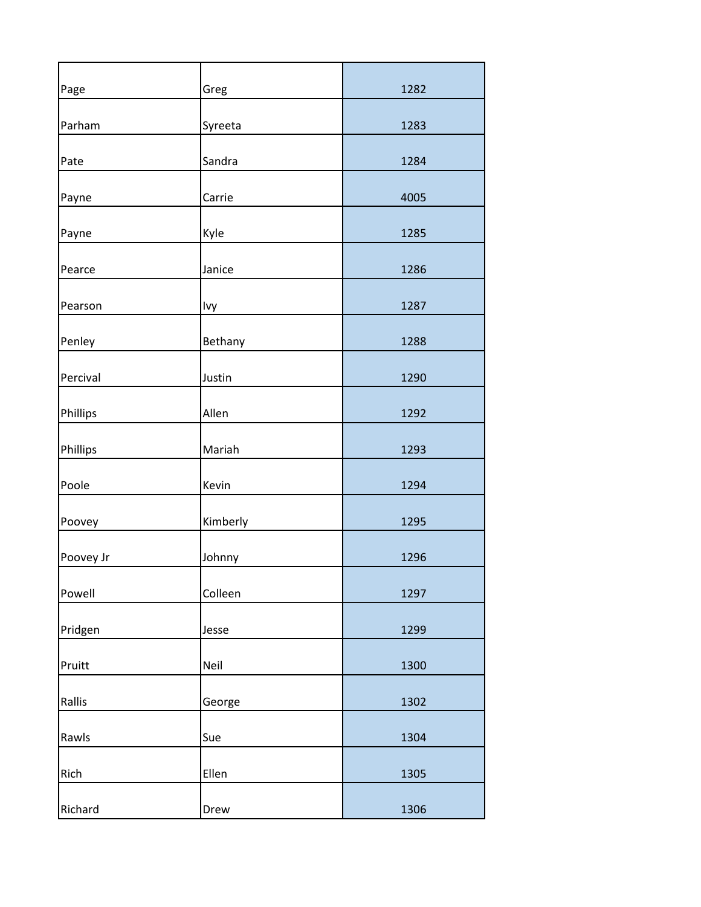| Page      | Greg     | 1282 |
|-----------|----------|------|
| Parham    | Syreeta  | 1283 |
| Pate      | Sandra   | 1284 |
| Payne     | Carrie   | 4005 |
| Payne     | Kyle     | 1285 |
| Pearce    | Janice   | 1286 |
| Pearson   | Ivy      | 1287 |
| Penley    | Bethany  | 1288 |
| Percival  | Justin   | 1290 |
| Phillips  | Allen    | 1292 |
| Phillips  | Mariah   | 1293 |
| Poole     | Kevin    | 1294 |
| Poovey    | Kimberly | 1295 |
| Poovey Jr | Johnny   | 1296 |
| Powell    | Colleen  | 1297 |
| Pridgen   | Jesse    | 1299 |
| Pruitt    | Neil     | 1300 |
| Rallis    | George   | 1302 |
| Rawls     | Sue      | 1304 |
| Rich      | Ellen    | 1305 |
| Richard   | Drew     | 1306 |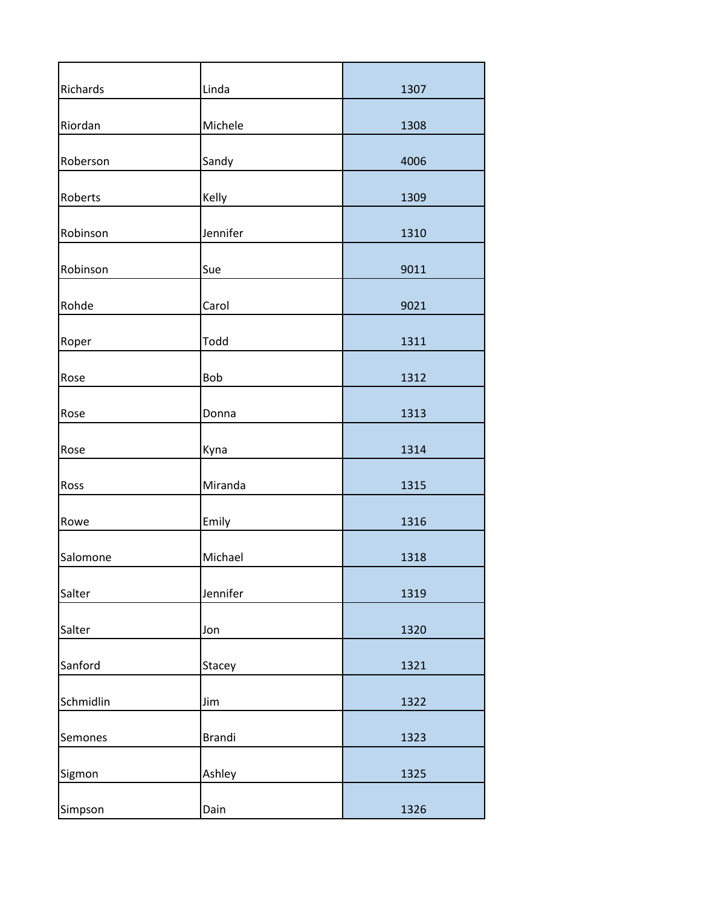| Richards  | Linda         | 1307 |
|-----------|---------------|------|
| Riordan   | Michele       | 1308 |
| Roberson  | Sandy         | 4006 |
| Roberts   | Kelly         | 1309 |
| Robinson  | Jennifer      | 1310 |
| Robinson  | Sue           | 9011 |
| Rohde     | Carol         | 9021 |
| Roper     | Todd          | 1311 |
| Rose      | Bob           | 1312 |
| Rose      | Donna         | 1313 |
| Rose      | Kyna          | 1314 |
| Ross      | Miranda       | 1315 |
| Rowe      | Emily         | 1316 |
| Salomone  | Michael       | 1318 |
| Salter    | Jennifer      | 1319 |
| Salter    | Jon           | 1320 |
| Sanford   | Stacey        | 1321 |
| Schmidlin | Jim           | 1322 |
| Semones   | <b>Brandi</b> | 1323 |
| Sigmon    | Ashley        | 1325 |
| Simpson   | Dain          | 1326 |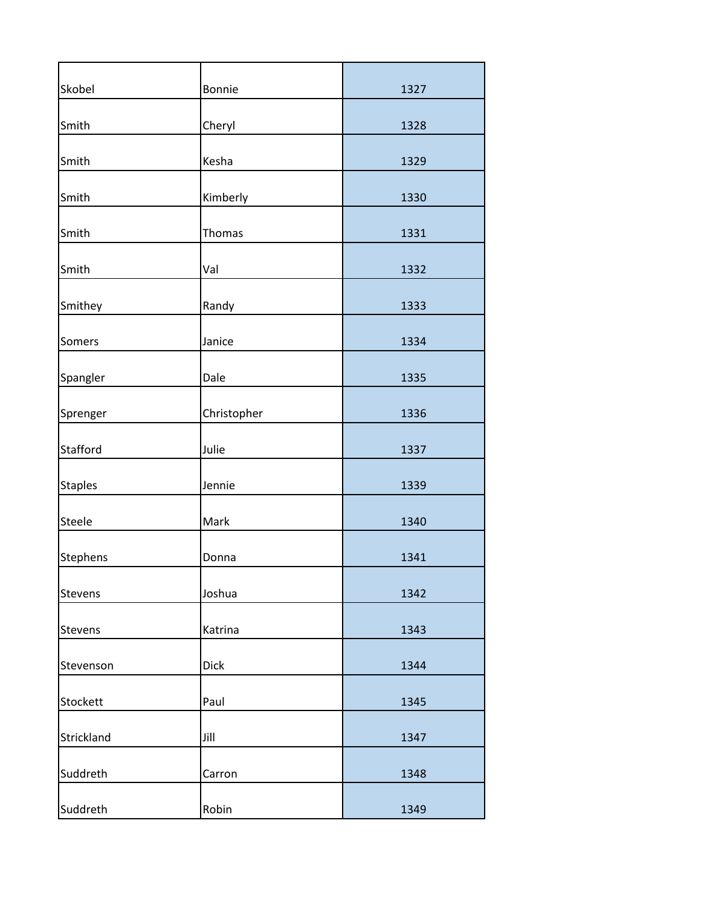| Skobel     | Bonnie      | 1327 |
|------------|-------------|------|
| Smith      | Cheryl      | 1328 |
| Smith      | Kesha       | 1329 |
| Smith      | Kimberly    | 1330 |
| Smith      | Thomas      | 1331 |
| Smith      | Val         | 1332 |
| Smithey    | Randy       | 1333 |
| Somers     | Janice      | 1334 |
| Spangler   | Dale        | 1335 |
| Sprenger   | Christopher | 1336 |
| Stafford   | Julie       | 1337 |
| Staples    | Jennie      | 1339 |
| Steele     | Mark        | 1340 |
| Stephens   | Donna       | 1341 |
| Stevens    | Joshua      | 1342 |
| Stevens    | Katrina     | 1343 |
| Stevenson  | <b>Dick</b> | 1344 |
| Stockett   | Paul        | 1345 |
| Strickland | Jill        | 1347 |
| Suddreth   | Carron      | 1348 |
| Suddreth   | Robin       | 1349 |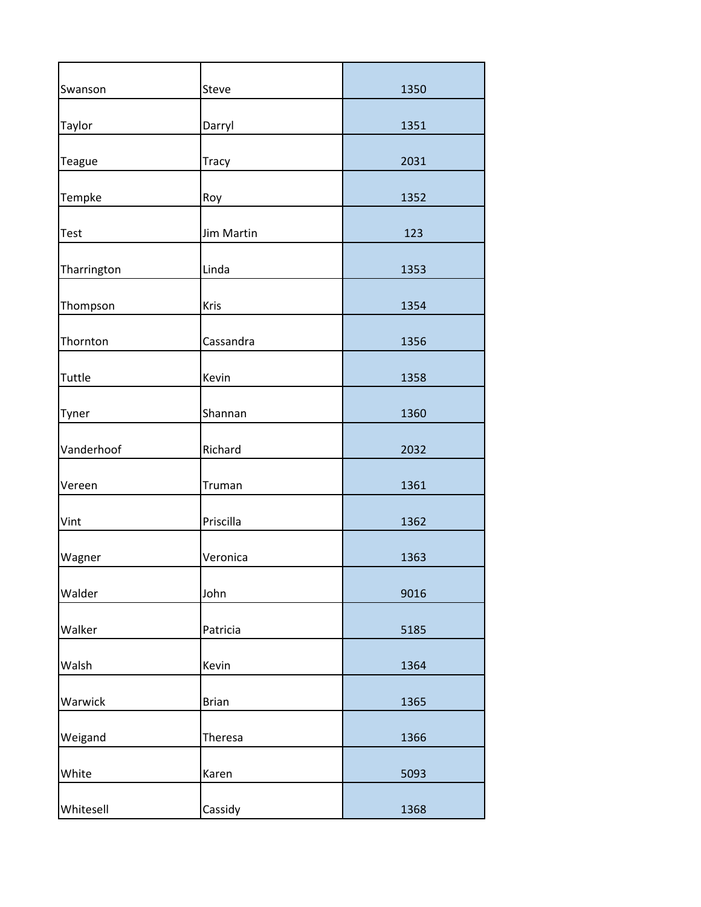| Swanson     | Steve        | 1350 |
|-------------|--------------|------|
| Taylor      | Darryl       | 1351 |
| Teague      | <b>Tracy</b> | 2031 |
| Tempke      | Roy          | 1352 |
| Test        | Jim Martin   | 123  |
| Tharrington | Linda        | 1353 |
| Thompson    | Kris         | 1354 |
| Thornton    | Cassandra    | 1356 |
| Tuttle      | Kevin        | 1358 |
| Tyner       | Shannan      | 1360 |
| Vanderhoof  | Richard      | 2032 |
| Vereen      | Truman       | 1361 |
| Vint        | Priscilla    | 1362 |
| Wagner      | Veronica     | 1363 |
| Walder      | John         | 9016 |
| Walker      | Patricia     | 5185 |
| Walsh       | Kevin        | 1364 |
| Warwick     | <b>Brian</b> | 1365 |
| Weigand     | Theresa      | 1366 |
| White       | Karen        | 5093 |
| Whitesell   | Cassidy      | 1368 |